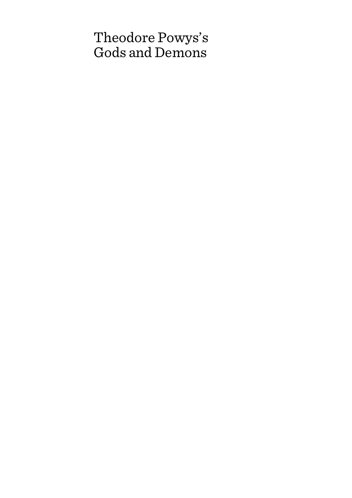## Theodore Powys's Gods and Demons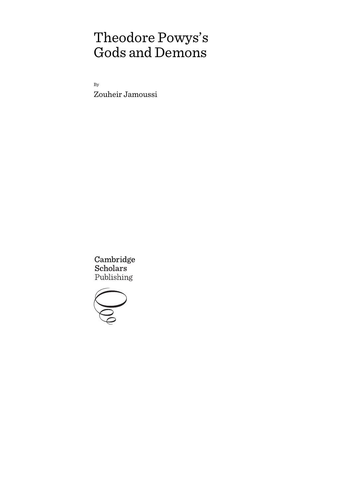# Theodore Powys's Gods and Demons

By Zouheir Jamoussi

Cambridge Scholars Publishing

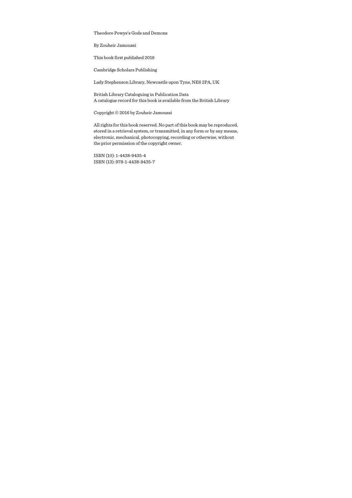Theodore Powys's Gods and Demons

By Zouheir Jamoussi

This book first published 2016

Cambridge Scholars Publishing

Lady Stephenson Library, Newcastle upon Tyne, NE6 2PA, UK

British Library Cataloguing in Publication Data A catalogue record for this book is available from the British Library

Copyright © 2016 by Zouheir Jamoussi

All rights for this book reserved. No part of this book may be reproduced, stored in a retrieval system, or transmitted, in any form or by any means, electronic, mechanical, photocopying, recording or otherwise, without the prior permission of the copyright owner.

ISBN (10): 1-4438-9435-4 ISBN (13): 978-1-4438-9435-7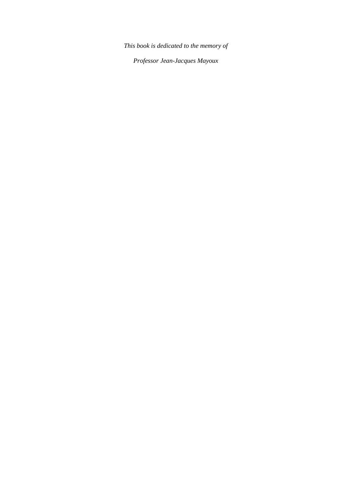*This book is dedicated to the memory of* 

*Professor Jean-Jacques Mayoux*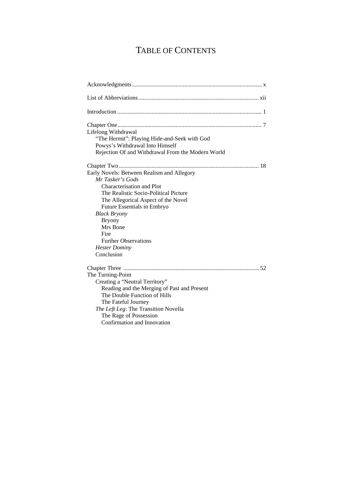## TABLE OF CONTENTS

| Lifelong Withdrawal                               |
|---------------------------------------------------|
| "The Hermit": Playing Hide-and-Seek with God      |
| Powys's Withdrawal Into Himself                   |
| Rejection Of and Withdrawal From the Modern World |
|                                                   |
| Early Novels: Between Realism and Allegory        |
| Mr Tasker's Gods                                  |
| Characterisation and Plot                         |
| The Realistic Socio-Political Picture             |
| The Allegorical Aspect of the Novel               |
| Future Essentials in Embryo                       |
| <b>Black Bryony</b>                               |
| <b>Bryony</b>                                     |
| Mrs Bone                                          |
| Fire                                              |
| <b>Further Observations</b>                       |
| <b>Hester Dominy</b>                              |
| Conclusion                                        |
|                                                   |
| The Turning-Point                                 |
| Creating a "Neutral Territory"                    |
| Reading and the Merging of Past and Present       |
| The Double Function of Hills                      |
| The Fateful Journey                               |
| The Left Leg: The Transition Novella              |
| The Rage of Possession                            |
| Confirmation and Innovation                       |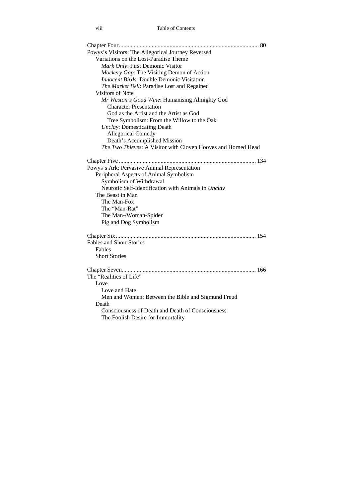| Powys's Visitors: The Allegorical Journey Reversed            |  |
|---------------------------------------------------------------|--|
| Variations on the Lost-Paradise Theme                         |  |
| Mark Only: First Demonic Visitor                              |  |
| Mockery Gap: The Visiting Demon of Action                     |  |
| <b>Innocent Birds: Double Demonic Visitation</b>              |  |
| The Market Bell: Paradise Lost and Regained                   |  |
| Visitors of Note                                              |  |
| Mr Weston's Good Wine: Humanising Almighty God                |  |
| <b>Character Presentation</b>                                 |  |
| God as the Artist and the Artist as God                       |  |
| Tree Symbolism: From the Willow to the Oak                    |  |
| <b>Unclay:</b> Domesticating Death                            |  |
| <b>Allegorical Comedy</b>                                     |  |
| Death's Accomplished Mission                                  |  |
| The Two Thieves: A Visitor with Cloven Hooves and Horned Head |  |
|                                                               |  |
| Powys's Ark: Pervasive Animal Representation                  |  |
| Peripheral Aspects of Animal Symbolism                        |  |
| Symbolism of Withdrawal                                       |  |
| Neurotic Self-Identification with Animals in Unclay           |  |
| The Beast in Man                                              |  |
| The Man-Fox                                                   |  |
| The "Man-Rat"                                                 |  |
| The Man-/Woman-Spider                                         |  |
| Pig and Dog Symbolism                                         |  |
|                                                               |  |
| <b>Fables and Short Stories</b>                               |  |
| Fables                                                        |  |
| <b>Short Stories</b>                                          |  |
|                                                               |  |
| The "Realities of Life"                                       |  |
| Love                                                          |  |
| Love and Hate                                                 |  |
| Men and Women: Between the Bible and Sigmund Freud            |  |
| Death                                                         |  |
| Consciousness of Death and Death of Consciousness             |  |
| The Foolish Desire for Immortality                            |  |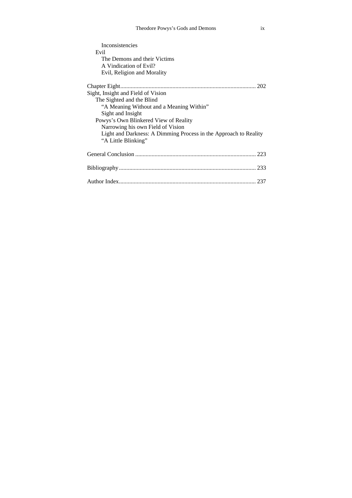| Inconsistencies                                                  |
|------------------------------------------------------------------|
| Evil                                                             |
| The Demons and their Victims                                     |
| A Vindication of Evil?                                           |
| Evil, Religion and Morality                                      |
|                                                                  |
| Sight, Insight and Field of Vision                               |
| The Sighted and the Blind                                        |
| "A Meaning Without and a Meaning Within"                         |
| Sight and Insight                                                |
| Powys's Own Blinkered View of Reality                            |
| Narrowing his own Field of Vision                                |
| Light and Darkness: A Dimming Process in the Approach to Reality |
| "A Little Blinking"                                              |
|                                                                  |
|                                                                  |
|                                                                  |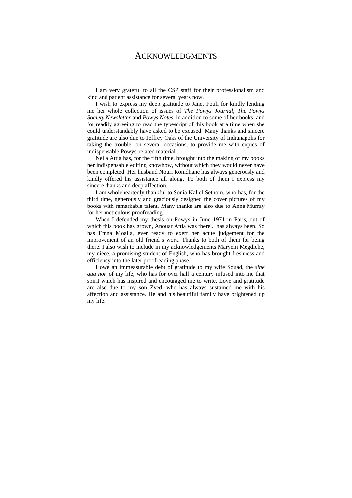### ACKNOWLEDGMENTS

I am very grateful to all the CSP staff for their professionalism and kind and patient assistance for several years now.

I wish to express my deep gratitude to Janet Fouli for kindly lending me her whole collection of issues of *The Powys Journal*, *The Powys Society Newsletter* and *Powys Notes*, in addition to some of her books, and for readily agreeing to read the typescript of this book at a time when she could understandably have asked to be excused. Many thanks and sincere gratitude are also due to Jeffrey Oaks of the University of Indianapolis for taking the trouble, on several occasions, to provide me with copies of indispensable Powys-related material.

Neila Attia has, for the fifth time, brought into the making of my books her indispensable editing knowhow, without which they would never have been completed. Her husband Nouri Romdhane has always generously and kindly offered his assistance all along. To both of them I express my sincere thanks and deep affection.

I am wholeheartedly thankful to Sonia Kallel Sethom, who has, for the third time, generously and graciously designed the cover pictures of my books with remarkable talent. Many thanks are also due to Anne Murray for her meticulous proofreading.

When I defended my thesis on Powys in June 1971 in Paris, out of which this book has grown, Anouar Attia was there... has always been. So has Emna Moalla, ever ready to exert her acute judgement for the improvement of an old friend's work. Thanks to both of them for being there. I also wish to include in my acknowledgements Maryem Megdiche, my niece, a promising student of English, who has brought freshness and efficiency into the later proofreading phase.

I owe an immeasurable debt of gratitude to my wife Souad, the *sine qua non* of my life, who has for over half a century infused into me that spirit which has inspired and encouraged me to write. Love and gratitude are also due to my son Zyed, who has always sustained me with his affection and assistance. He and his beautiful family have brightened up my life.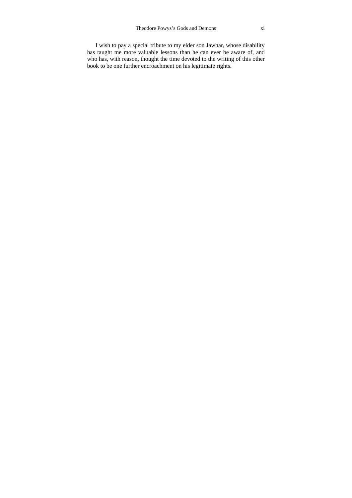I wish to pay a special tribute to my elder son Jawhar, whose disability has taught me more valuable lessons than he can ever be aware of, and who has, with reason, thought the time devoted to the writing of this other book to be one further encroachment on his legitimate rights.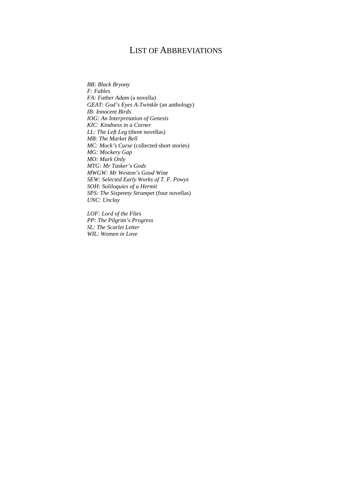## LIST OF ABBREVIATIONS

*BB: Black Bryony F: Fables FA: Father Adam* (a novella) *GEAT: God's Eyes A-Twinkle* (an anthology) *IB: Innocent Birds IOG: An Interpretation of Genesis KIC: Kindness in a Corner LL: The Left Leg* (three novellas) *MB: The Market Bell MC: Mock's Curse* (collected short stories) *MG: Mockery Gap MO: Mark Only MTG: Mr Tasker's Gods MWGW: Mr Weston's Good Wine SEW: Selected Early Works of T. F. Powys SOH: Soliloquies of a Hermit SPS: The Sixpenny Strumpet* (four novellas) *UNC: Unclay* 

*LOF: Lord of the Flies PP: The Pilgrim's Progress SL: The Scarlet Letter WIL: Women in Love*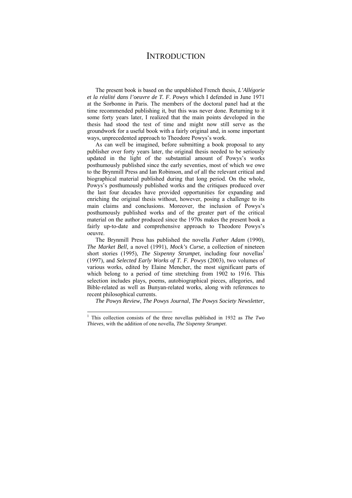## **INTRODUCTION**

The present book is based on the unpublished French thesis, *L'Allégorie et la réalité dans l'oeuvre de T. F*. *Powys* which I defended in June 1971 at the Sorbonne in Paris. The members of the doctoral panel had at the time recommended publishing it, but this was never done. Returning to it some forty years later, I realized that the main points developed in the thesis had stood the test of time and might now still serve as the groundwork for a useful book with a fairly original and, in some important ways, unprecedented approach to Theodore Powys's work.

As can well be imagined, before submitting a book proposal to any publisher over forty years later, the original thesis needed to be seriously updated in the light of the substantial amount of Powys's works posthumously published since the early seventies, most of which we owe to the Brynmill Press and Ian Robinson, and of all the relevant critical and biographical material published during that long period. On the whole, Powys's posthumously published works and the critiques produced over the last four decades have provided opportunities for expanding and enriching the original thesis without, however, posing a challenge to its main claims and conclusions. Moreover, the inclusion of Powys's posthumously published works and of the greater part of the critical material on the author produced since the 1970s makes the present book a fairly up-to-date and comprehensive approach to Theodore Powys's oeuvre.

The Brynmill Press has published the novella *Father Adam* (1990), *The Market Bell*, a novel (1991), *Mock's Curse*, a collection of nineteen short stories (1995), *The Sixpenny Strumpet*, including four novellas<sup>1</sup> (1997), and *Selected Early Works of T. F. Powys* (2003), two volumes of various works, edited by Elaine Mencher, the most significant parts of which belong to a period of time stretching from 1902 to 1916. This selection includes plays, poems, autobiographical pieces, allegories, and Bible-related as well as Bunyan-related works, along with references to recent philosophical currents.

*The Powys Review*, *The Powys Journal*, *The Powys Society Newsletter*,

<sup>1</sup> This collection consists of the three novellas published in 1932 as *The Two Thieves*, with the addition of one novella, *The Sixpenny Strumpet*.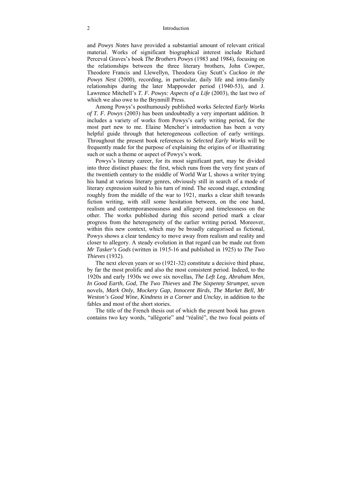#### 2 Introduction

and *Powys Notes* have provided a substantial amount of relevant critical material. Works of significant biographical interest include Richard Perceval Graves's book *The Brothers Powys* (1983 and 1984), focusing on the relationships between the three literary brothers, John Cowper, Theodore Francis and Llewellyn, Theodora Gay Scutt's *Cuckoo in the Powys Nest* (2000), recording, in particular, daily life and intra-family relationships during the later Mappowder period (1940-53), and J. Lawrence Mitchell's *T. F. Powys: Aspects of a Life* (2003), the last two of which we also owe to the Brynmill Press.

Among Powys's posthumously published works *Selected Early Works of T. F. Powys* (2003) has been undoubtedly a very important addition. It includes a variety of works from Powys's early writing period, for the most part new to me. Elaine Mencher's introduction has been a very helpful guide through that heterogeneous collection of early writings. Throughout the present book references to *Selected Early Works* will be frequently made for the purpose of explaining the origins of or illustrating such or such a theme or aspect of Powys's work.

Powys's literary career, for its most significant part, may be divided into three distinct phases: the first, which runs from the very first years of the twentieth century to the middle of World War I, shows a writer trying his hand at various literary genres, obviously still in search of a mode of literary expression suited to his turn of mind. The second stage, extending roughly from the middle of the war to 1921, marks a clear shift towards fiction writing, with still some hesitation between, on the one hand, realism and contemporaneousness and allegory and timelessness on the other. The works published during this second period mark a clear progress from the heterogeneity of the earlier writing period. Moreover, within this new context, which may be broadly categorised as fictional, Powys shows a clear tendency to move away from realism and reality and closer to allegory. A steady evolution in that regard can be made out from *Mr Tasker's Gods* (written in 1915-16 and published in 1925) to *The Two Thieves* (1932).

The next eleven years or so (1921-32) constitute a decisive third phase, by far the most prolific and also the most consistent period. Indeed, to the 1920s and early 1930s we owe six novellas, *The Left Leg*, *Abraham Men*, *In Good Earth*, *God*, *The Two Thieves* and *The Sixpenny Strumpet*, seven novels, *Mark Only*, *Mockery Gap*, *Innocent Birds*, *The Market Bell*, *Mr Weston's Good Wine*, *Kindness in a Corner* and *Unclay*, in addition to the fables and most of the short stories.

The title of the French thesis out of which the present book has grown contains two key words, "allégorie" and "réalité", the two focal points of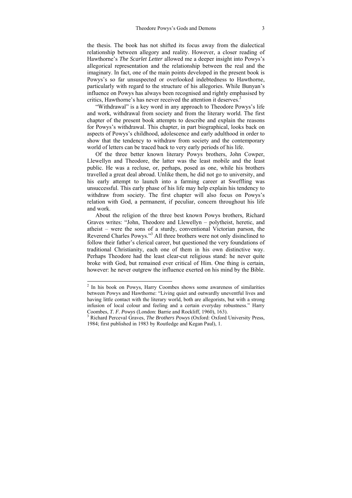the thesis. The book has not shifted its focus away from the dialectical relationship between allegory and reality. However, a closer reading of Hawthorne's *The Scarlet Letter* allowed me a deeper insight into Powys's allegorical representation and the relationship between the real and the imaginary. In fact, one of the main points developed in the present book is Powys's so far unsuspected or overlooked indebtedness to Hawthorne, particularly with regard to the structure of his allegories. While Bunyan's influence on Powys has always been recognised and rightly emphasised by critics. Hawthorne's has never received the attention it deserves.<sup>2</sup>

"Withdrawal" is a key word in any approach to Theodore Powys's life and work, withdrawal from society and from the literary world. The first chapter of the present book attempts to describe and explain the reasons for Powys's withdrawal. This chapter, in part biographical, looks back on aspects of Powys's childhood, adolescence and early adulthood in order to show that the tendency to withdraw from society and the contemporary world of letters can be traced back to very early periods of his life.

Of the three better known literary Powys brothers, John Cowper, Llewellyn and Theodore, the latter was the least mobile and the least public. He was a recluse, or, perhaps, posed as one, while his brothers travelled a great deal abroad. Unlike them, he did not go to university, and his early attempt to launch into a farming career at Sweffling was unsuccessful. This early phase of his life may help explain his tendency to withdraw from society. The first chapter will also focus on Powys's relation with God, a permanent, if peculiar, concern throughout his life and work.

About the religion of the three best known Powys brothers, Richard Graves writes: "John, Theodore and Llewellyn – polytheist, heretic, and atheist – were the sons of a sturdy, conventional Victorian parson, the Reverend Charles Powys."<sup>3</sup> All three brothers were not only disinclined to follow their father's clerical career, but questioned the very foundations of traditional Christianity, each one of them in his own distinctive way. Perhaps Theodore had the least clear-cut religious stand: he never quite broke with God, but remained ever critical of Him. One thing is certain, however: he never outgrew the influence exerted on his mind by the Bible.

 2 In his book on Powys, Harry Coombes shows some awareness of similarities between Powys and Hawthorne: "Living quiet and outwardly uneventful lives and having little contact with the literary world, both are allegorists, but with a strong infusion of local colour and feeling and a certain everyday robustness." Harry Coombes, *T. F. Powys* (London: Barrie and Rockliff, 1960), 163).

<sup>&</sup>lt;sup>3</sup> Richard Perceval Graves, *The Brothers Powys* (Oxford: Oxford University Press, 1984; first published in 1983 by Routledge and Kegan Paul), 1.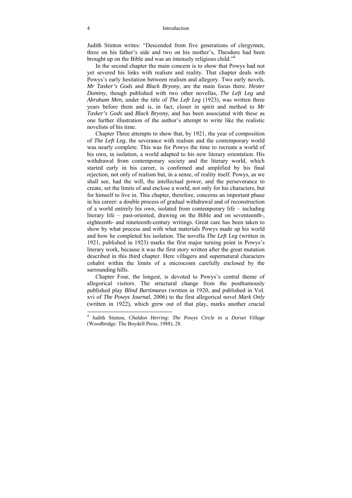Judith Stinton writes: "Descended from five generations of clergymen, three on his father's side and two on his mother's, Theodore had been brought up on the Bible and was an intensely religious child."4

In the second chapter the main concern is to show that Powys had not yet severed his links with realism and reality. That chapter deals with Powys's early hesitation between realism and allegory. Two early novels, *Mr Tasker's Gods* and *Black Bryony*, are the main focus there. *Hester Dominy*, though published with two other novellas, *The Left Leg* and *Abraham Men*, under the title of *The Left Leg* (1923), was written three years before them and is, in fact, closer in spirit and method to *Mr Tasker's Gods* and *Black Bryony*, and has been associated with these as one further illustration of the author's attempt to write like the realistic novelists of his time.

Chapter Three attempts to show that, by 1921, the year of composition of *The Left Leg*, the severance with realism and the contemporary world was nearly complete. This was for Powys the time to recreate a world of his own, in isolation, a world adapted to his new literary orientation. His withdrawal from contemporary society and the literary world, which started early in his career, is confirmed and amplified by his final rejection, not only of realism but, in a sense, of reality itself. Powys, as we shall see, had the will, the intellectual power, and the perseverance to create, set the limits of and enclose a world, not only for his characters, but for himself to live in. This chapter, therefore, concerns an important phase in his career: a double process of gradual withdrawal and of reconstruction of a world entirely his own, isolated from contemporary life  $-$  including literary life  $-$  past-oriented, drawing on the Bible and on seventeenth-, eighteenth- and nineteenth-century writings. Great care has been taken to show by what process and with what materials Powys made up his world and how he completed his isolation. The novella *The Left Leg* (written in 1921, published in 1923) marks the first major turning point in Powys's literary work, because it was the first story written after the great mutation described in this third chapter. Here villagers and supernatural characters cohabit within the limits of a microcosm carefully enclosed by the surrounding hills.

Chapter Four, the longest, is devoted to Powys's central theme of allegorical visitors. The structural change from the posthumously published play *Blind Bartimaeus* (written in 1920, and published in Vol. xvi of *The Powys Journal*, 2006) to the first allegorical novel *Mark Only* (written in 1922), which grew out of that play, marks another crucial

<sup>4</sup> Judith Stinton, *Chaldon Herring*: *The Powys Circle in a Dorset Village* (Woodbridge: The Boydell Press, 1988), 28.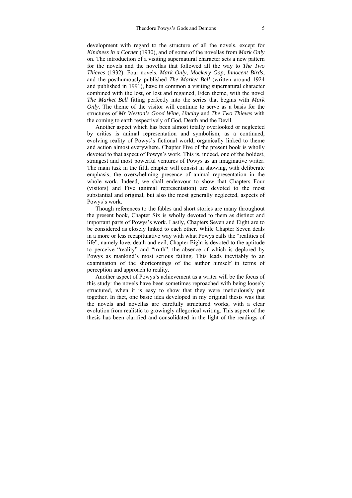development with regard to the structure of all the novels, except for *Kindness in a Corner* (1930), and of some of the novellas from *Mark Only* on. The introduction of a visiting supernatural character sets a new pattern for the novels and the novellas that followed all the way to *The Two Thieves* (1932). Four novels, *Mark Only*, *Mockery Gap*, *Innocent Birds*, and the posthumously published *The Market Bell* (written around 1924 and published in 1991), have in common a visiting supernatural character combined with the lost, or lost and regained, Eden theme, with the novel *The Market Bell* fitting perfectly into the series that begins with *Mark Only*. The theme of the visitor will continue to serve as a basis for the structures of *Mr Weston's Good Wine*, *Unclay* and *The Two Thieves* with the coming to earth respectively of God, Death and the Devil.

Another aspect which has been almost totally overlooked or neglected by critics is animal representation and symbolism, as a continued, evolving reality of Powys's fictional world, organically linked to theme and action almost everywhere. Chapter Five of the present book is wholly devoted to that aspect of Powys's work. This is, indeed, one of the boldest, strangest and most powerful ventures of Powys as an imaginative writer. The main task in the fifth chapter will consist in showing, with deliberate emphasis, the overwhelming presence of animal representation in the whole work. Indeed, we shall endeavour to show that Chapters Four (visitors) and Five (animal representation) are devoted to the most substantial and original, but also the most generally neglected, aspects of Powys's work.

Though references to the fables and short stories are many throughout the present book, Chapter Six is wholly devoted to them as distinct and important parts of Powys's work. Lastly, Chapters Seven and Eight are to be considered as closely linked to each other. While Chapter Seven deals in a more or less recapitulative way with what Powys calls the "realities of life", namely love, death and evil, Chapter Eight is devoted to the aptitude to perceive "reality" and "truth", the absence of which is deplored by Powys as mankind's most serious failing. This leads inevitably to an examination of the shortcomings of the author himself in terms of perception and approach to reality.

Another aspect of Powys's achievement as a writer will be the focus of this study: the novels have been sometimes reproached with being loosely structured, when it is easy to show that they were meticulously put together. In fact, one basic idea developed in my original thesis was that the novels and novellas are carefully structured works, with a clear evolution from realistic to growingly allegorical writing. This aspect of the thesis has been clarified and consolidated in the light of the readings of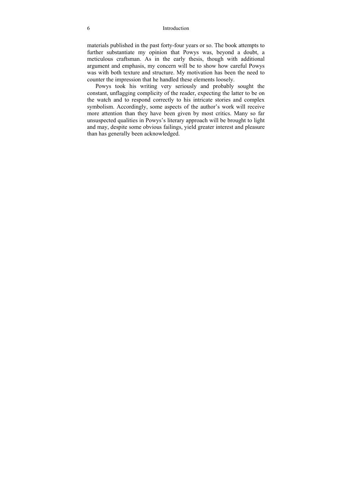#### 6 Introduction

materials published in the past forty-four years or so. The book attempts to further substantiate my opinion that Powys was, beyond a doubt, a meticulous craftsman. As in the early thesis, though with additional argument and emphasis, my concern will be to show how careful Powys was with both texture and structure. My motivation has been the need to counter the impression that he handled these elements loosely.

Powys took his writing very seriously and probably sought the constant, unflagging complicity of the reader, expecting the latter to be on the watch and to respond correctly to his intricate stories and complex symbolism. Accordingly, some aspects of the author's work will receive more attention than they have been given by most critics. Many so far unsuspected qualities in Powys's literary approach will be brought to light and may, despite some obvious failings, yield greater interest and pleasure than has generally been acknowledged.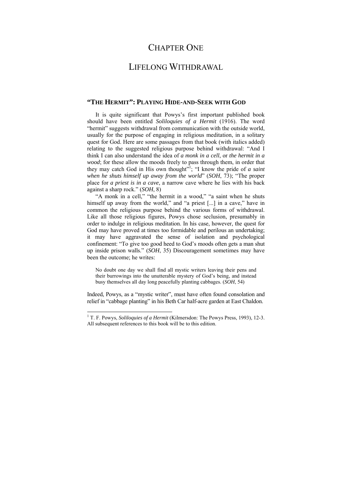## CHAPTER ONE

## LIFELONG WITHDRAWAL

### **"THE HERMIT": PLAYING HIDE-AND-SEEK WITH GOD**

It is quite significant that Powys's first important published book should have been entitled *Soliloquies of a Hermit* (1916). The word "hermit" suggests withdrawal from communication with the outside world, usually for the purpose of engaging in religious meditation, in a solitary quest for God. Here are some passages from that book (with italics added) relating to the suggested religious purpose behind withdrawal: "And I think I can also understand the idea of *a monk in a cell*, or *the hermit in a wood*; for these allow the moods freely to pass through them, in order that they may catch God in His own thought<sup> $n$ </sup>; "I know the pride of *a saint when he shuts himself up away from the world*" (*SOH*, 73); "The proper place for *a priest is in a cave*, a narrow cave where he lies with his back against a sharp rock." (*SOH*, 8)

"A monk in a cell," "the hermit in a wood," "a saint when he shuts himself up away from the world," and "a priest [...] in a cave," have in common the religious purpose behind the various forms of withdrawal. Like all those religious figures, Powys chose seclusion, presumably in order to indulge in religious meditation. In his case, however, the quest for God may have proved at times too formidable and perilous an undertaking; it may have aggravated the sense of isolation and psychological confinement: "To give too good heed to God's moods often gets a man shut up inside prison walls." (*SOH*, 35) Discouragement sometimes may have been the outcome; he writes:

No doubt one day we shall find all mystic writers leaving their pens and their burrowings into the unutterable mystery of God's being, and instead busy themselves all day long peacefully planting cabbages. (*SOH*, 54)

Indeed, Powys, as a "mystic writer", must have often found consolation and relief in "cabbage planting" in his Beth Car half-acre garden at East Chaldon.

<sup>&</sup>lt;sup>1</sup> T. F. Powys, *Soliloquies of a Hermit* (Kilmersdon: The Powys Press, 1993), 12-3. All subsequent references to this book will be to this edition.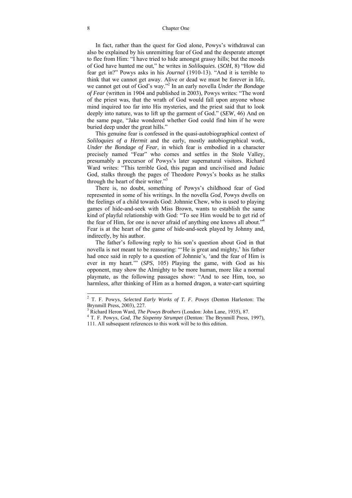In fact, rather than the quest for God alone, Powys's withdrawal can also be explained by his unremitting fear of God and the desperate attempt to flee from Him: "I have tried to hide amongst grassy hills; but the moods of God have hunted me out," he writes in *Soliloquies*. (*SOH*, 8) "How did fear get in?" Powys asks in his *Journal* (1910-13). "And it is terrible to think that we cannot get away. Alive or dead we must be forever in life, we cannot get out of God's way."2 In an early novella *Under the Bondage of Fear* (written in 1904 and published in 2003), Powys writes: "The word of the priest was, that the wrath of God would fall upon anyone whose mind inquired too far into His mysteries, and the priest said that to look deeply into nature, was to lift up the garment of God." (*SEW*, 46) And on the same page, "Jake wondered whether God could find him if he were buried deep under the great hills."

This genuine fear is confessed in the quasi-autobiographical context of *Soliloquies of a Hermit* and the early, mostly autobiographical work, *Under the Bondage of Fear*, in which fear is embodied in a character precisely named "Fear" who comes and settles in the Stole Valley, presumably a precursor of Powys's later supernatural visitors. Richard Ward writes: "This terrible God, this pagan and uncivilised and Judaic God, stalks through the pages of Theodore Powys's books as he stalks through the heart of their writer."<sup>3</sup>

There is, no doubt, something of Powys's childhood fear of God represented in some of his writings. In the novella *God*, Powys dwells on the feelings of a child towards God: Johnnie Chew, who is used to playing games of hide-and-seek with Miss Brown, wants to establish the same kind of playful relationship with God: "To see Him would be to get rid of the fear of Him, for one is never afraid of anything one knows all about."<sup>4</sup> Fear is at the heart of the game of hide-and-seek played by Johnny and, indirectly, by his author.

The father's following reply to his son's question about God in that novella is not meant to be reassuring: "'He is great and mighty,' his father had once said in reply to a question of Johnnie's, 'and the fear of Him is ever in my heart.'" (*SPS*, 105) Playing the game, with God as his opponent, may show the Almighty to be more human, more like a normal playmate, as the following passages show: "And to see Him, too, so harmless, after thinking of Him as a horned dragon, a water-cart squirting

 2 T. F. Powys, *Selected Early Works of T. F. Powys* (Denton Harleston: The Brynmill Press, 2003), 227.

<sup>&</sup>lt;sup>3</sup> Richard Heron Ward, *The Powys Brothers* (London: John Lane, 1935), 87.<br><sup>4</sup> T. E. Powys, *Cod. The Sixpanny Strumpet* (Donton: The Prynmill Press.

T. F. Powys, *God*, *The Sixpenny Strumpet* (Denton: The Brynmill Press, 1997), 111. All subsequent references to this work will be to this edition.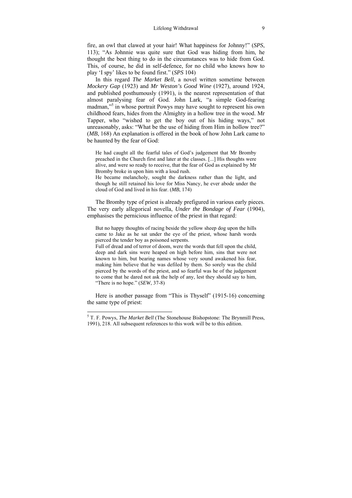fire, an owl that clawed at your hair! What happiness for Johnny!" (*SPS*, 113); "As Johnnie was quite sure that God was hiding from him, he thought the best thing to do in the circumstances was to hide from God. This, of course, he did in self-defence, for no child who knows how to play 'I spy' likes to be found first." (*SPS* 104)

In this regard *The Market Bell*, a novel written sometime between *Mockery Gap* (1923) and *Mr Weston's Good Wine* (1927), around 1924, and published posthumously (1991), is the nearest representation of that almost paralysing fear of God. John Lark, "a simple God-fearing madman,"<sup>5</sup> in whose portrait Powys may have sought to represent his own childhood fears, hides from the Almighty in a hollow tree in the wood. Mr Tapper, who "wished to get the boy out of his hiding ways," not unreasonably, asks: "What be the use of hiding from Him in hollow tree?" (*MB*, 168) An explanation is offered in the book of how John Lark came to be haunted by the fear of God:

He had caught all the fearful tales of God's judgement that Mr Bromby preached in the Church first and later at the classes. [...] His thoughts were alive, and were so ready to receive, that the fear of God as explained by Mr Bromby broke in upon him with a loud rush.

He became melancholy, sought the darkness rather than the light, and though he still retained his love for Miss Nancy, he ever abode under the cloud of God and lived in his fear. (*MB*, 174)

The Bromby type of priest is already prefigured in various early pieces. The very early allegorical novella, *Under the Bondage of Fear* (1904), emphasises the pernicious influence of the priest in that regard:

But no happy thoughts of racing beside the yellow sheep dog upon the hills came to Jake as he sat under the eye of the priest, whose harsh words pierced the tender boy as poisoned serpents.

Full of dread and of terror of doom, were the words that fell upon the child, deep and dark sins were heaped on high before him, sins that were not known to him, but bearing names whose very sound awakened his fear, making him believe that he was defiled by them. So sorely was the child pierced by the words of the priest, and so fearful was he of the judgement to come that he dared not ask the help of any, lest they should say to him, "There is no hope." (*SEW*, 37-8)

Here is another passage from "This is Thyself" (1915-16) concerning the same type of priest:

<sup>5</sup> T. F. Powys, *The Market Bell* (The Stonehouse Bishopstone: The Brynmill Press, 1991), 218. All subsequent references to this work will be to this edition.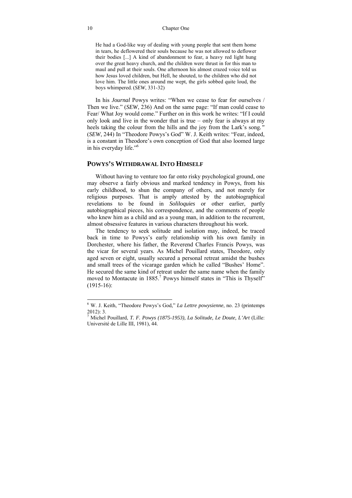#### 10 Chapter One

He had a God-like way of dealing with young people that sent them home in tears, he deflowered their souls because he was not allowed to deflower their bodies [...] A kind of abandonment to fear, a heavy red light hung over the great heavy church, and the children were thrust in for this man to maul and pull at their souls. One afternoon his almost crazed voice told us how Jesus loved children, but Hell, he shouted, to the children who did not love him. The little ones around me wept, the girls sobbed quite loud, the boys whimpered. (*SEW*, 331-32)

In his *Journal* Powys writes: "When we cease to fear for ourselves / Then we live." (*SEW*, 236) And on the same page: "If man could cease to Fear/ What Joy would come." Further on in this work he writes: "If I could only look and live in the wonder that is true  $-$  only fear is always at my heels taking the colour from the hills and the joy from the Lark's song*."*  (*SEW*, 244) In "Theodore Powys's God" W. J. Keith writes: "Fear, indeed, is a constant in Theodore's own conception of God that also loomed large in his everyday life."6

### **POWYS'S WITHDRAWAL INTO HIMSELF**

Without having to venture too far onto risky psychological ground, one may observe a fairly obvious and marked tendency in Powys, from his early childhood, to shun the company of others, and not merely for religious purposes. That is amply attested by the autobiographical revelations to be found in *Soliloquies* or other earlier, partly autobiographical pieces, his correspondence, and the comments of people who knew him as a child and as a young man, in addition to the recurrent, almost obsessive features in various characters throughout his work.

The tendency to seek solitude and isolation may, indeed, be traced back in time to Powys's early relationship with his own family in Dorchester, where his father, the Reverend Charles Francis Powys, was the vicar for several years. As Michel Pouillard states, Theodore, only aged seven or eight, usually secured a personal retreat amidst the bushes and small trees of the vicarage garden which he called "Bushes' Home". He secured the same kind of retreat under the same name when the family moved to Montacute in 1885.<sup>7</sup> Powys himself states in "This is Thyself" (1915-16):

 6 W. J. Keith, "Theodore Powys's God," *La Lettre powysienne*, no. 23 (printemps 2012): 3.

<sup>7</sup> Michel Pouillard, *T. F. Powys (1875-1953), La Solitude, Le Doute, L'Art* (Lille: Université de Lille III, 1981), 44.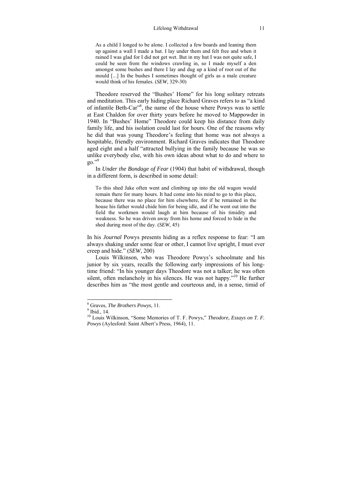#### Lifelong Withdrawal 11

As a child I longed to be alone. I collected a few boards and leaning them up against a wall I made a hut. I lay under them and felt free and when it rained I was glad for I did not get wet. But in my hut I was not quite safe, I could be seen from the windows crawling in, so I made myself a den amongst some bushes and there I lay and dug up a kind of root out of the mould [...] In the bushes I sometimes thought of girls as a male creature would think of his females. (*SEW*, 329-30)

Theodore reserved the "Bushes' Home" for his long solitary retreats and meditation. This early hiding place Richard Graves refers to as "a kind of infantile Beth-Car<sup>38</sup>, the name of the house where Powys was to settle at East Chaldon for over thirty years before he moved to Mappowder in 1940. In "Bushes' Home" Theodore could keep his distance from daily family life, and his isolation could last for hours. One of the reasons why he did that was young Theodore's feeling that home was not always a hospitable, friendly environment. Richard Graves indicates that Theodore aged eight and a half "attracted bullying in the family because he was so unlike everybody else, with his own ideas about what to do and where to  $20.^{9}$ 

In *Under the Bondage of Fear* (1904) that habit of withdrawal, though in a different form, is described in some detail:

To this shed Jake often went and climbing up into the old wagon would remain there for many hours. It had come into his mind to go to this place, because there was no place for him elsewhere, for if he remained in the house his father would chide him for being idle, and if he went out into the field the workmen would laugh at him because of his timidity and weakness. So he was driven away from his home and forced to hide in the shed during most of the day. (*SEW*, 45)

In his *Journal* Powys presents hiding as a reflex response to fear: "I am always shaking under some fear or other, I cannot live upright, I must ever creep and hide." (*SEW*, 200)

Louis Wilkinson, who was Theodore Powys's schoolmate and his junior by six years, recalls the following early impressions of his longtime friend: "In his younger days Theodore was not a talker; he was often silent, often melancholy in his silences. He was not happy.<sup>510</sup> He further describes him as "the most gentle and courteous and, in a sense, timid of

<sup>&</sup>lt;sup>8</sup> Graves, *The Brothers Powys*, 11.

 $<sup>9</sup>$  Ibid., 14.</sup>

<sup>10</sup> Louis Wilkinson, "Some Memories of T. F. Powys," *Theodore, Essays on T. F. Powys* (Aylesford: Saint Albert's Press, 1964), 11.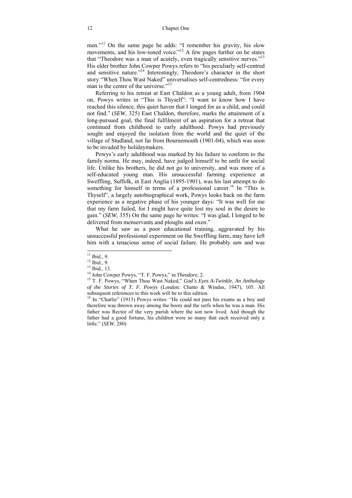men."11 On the same page he adds: "I remember his gravity, his slow movements, and his low-toned voice."<sup>12</sup> A few pages further on he states that "Theodore was a man of acutely, even tragically sensitive nerves."13 His elder brother John Cowper Powys refers to "his peculiarly self-centred and sensitive nature."14 Interestingly, Theodore's character in the short story "When Thou Wast Naked" universalises self-centredness: "for every man is the centre of the universe."<sup>15</sup>

Referring to his retreat at East Chaldon as a young adult, from 1904 on, Powys writes in "This is Thyself": "I want to know how I have reached this silence, this quiet haven that I longed for as a child, and could not find." (*SEW*, 325) East Chaldon, therefore, marks the attainment of a long-pursued goal, the final fulfilment of an aspiration for a retreat that continued from childhood to early adulthood. Powys had previously sought and enjoyed the isolation from the world and the quiet of the village of Studland, not far from Bournemouth (1901-04), which was soon to be invaded by holidaymakers.

Powys's early adulthood was marked by his failure to conform to the family norms. He may, indeed, have judged himself to be unfit for social life. Unlike his brothers, he did not go to university, and was more of a self-educated young man. His unsuccessful farming experience at Sweffling, Suffolk, in East Anglia (1895-1901), was his last attempt to do something for himself in terms of a professional career.<sup>16</sup> In "This is Thyself", a largely autobiographical work, Powys looks back on the farm experience as a negative phase of his younger days: "It was well for me that my farm failed, for I might have quite lost my soul in the desire to gain." (*SEW*, 355) On the same page he writes: "I was glad, I longed to be delivered from menservants and ploughs and oxen."

What he saw as a poor educational training, aggravated by his unsuccessful professional experiment on the Sweffling farm, may have left him with a tenacious sense of social failure. He probably saw and was

 $11$  Ibid., 9.

 $12$  Ibid., 9.

<sup>&</sup>lt;sup>13</sup> Ibid., 13.<br><sup>14</sup> John Cowper Powys. "T. F. Powys." in *Theodore*, 2.

<sup>&</sup>lt;sup>15</sup> T. F. Powys, "When Thou Wast Naked," *God's Eyes A-Twinkle*, *An Anthology of the Stories of T. F. Powys* (London: Chatto & Windus, 1947), 105. All

 $16$  In "Charlie" (1913) Powys writes: "He could not pass his exams as a boy and therefore was thrown away among the boors and the serfs when he was a man. His father was Rector of the very parish where the son now lived. And though the father had a good fortune, his children were so many that each received only a little." (*SEW*, 280)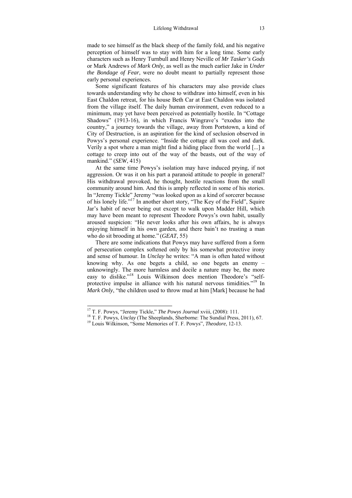made to see himself as the black sheep of the family fold, and his negative perception of himself was to stay with him for a long time. Some early characters such as Henry Turnbull and Henry Neville of *Mr Tasker's Gods* or Mark Andrews of *Mark Only*, as well as the much earlier Jake in *Under the Bondage of Fear*, were no doubt meant to partially represent those early personal experiences.

Some significant features of his characters may also provide clues towards understanding why he chose to withdraw into himself, even in his East Chaldon retreat, for his house Beth Car at East Chaldon was isolated from the village itself. The daily human environment, even reduced to a minimum, may yet have been perceived as potentially hostile. In "Cottage Shadows" (1913-16), in which Francis Wingrave's "exodus into the country," a journey towards the village, away from Portstown, a kind of City of Destruction, is an aspiration for the kind of seclusion observed in Powys's personal experience. "Inside the cottage all was cool and dark. Verily a spot where a man might find a hiding place from the world [...] a cottage to creep into out of the way of the beasts, out of the way of mankind." (*SEW*, 415)

At the same time Powys's isolation may have induced prying, if not aggression. Or was it on his part a paranoid attitude to people in general? His withdrawal provoked, he thought, hostile reactions from the small community around him. And this is amply reflected in some of his stories. In "Jeremy Tickle" Jeremy "was looked upon as a kind of sorcerer because of his lonely life."17 In another short story, "The Key of the Field", Squire Jar's habit of never being out except to walk upon Madder Hill, which may have been meant to represent Theodore Powys's own habit, usually aroused suspicion: "He never looks after his own affairs, he is always enjoying himself in his own garden, and there bain't no trusting a man who do sit brooding at home." (*GEAT*, 55)

There are some indications that Powys may have suffered from a form of persecution complex softened only by his somewhat protective irony and sense of humour. In *Unclay* he writes: "A man is often hated without knowing why. As one begets a child, so one begets an enemy  $$ unknowingly. The more harmless and docile a nature may be, the more easy to dislike."18 Louis Wilkinson does mention Theodore's "selfprotective impulse in alliance with his natural nervous timidities."19 In *Mark Only*, "the children used to throw mud at him [Mark] because he had

<sup>&</sup>lt;sup>17</sup> T. F. Powys, "Jeremy Tickle," *The Powys Journal* xviii,  $(2008)$ : 111.

<sup>&</sup>lt;sup>18</sup> T. F. Powys, *Unclay* (The Sheeplands, Sherborne: The Sundial Press, 2011), 67.<br><sup>19</sup> Louis Wilkinson, "Some Memories of T. F. Powys", *Theodore*, 12-13.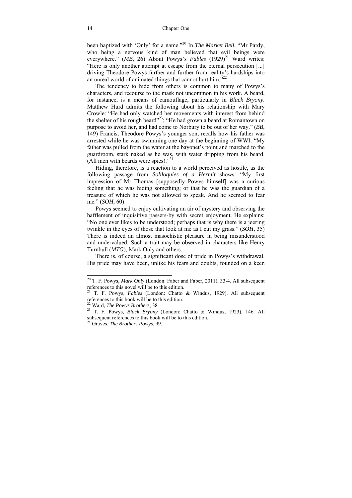been baptized with 'Only' for a name."20 In *The Market Bell*, "Mr Pardy, who being a nervous kind of man believed that evil beings were everywhere." (*MB*, 26) About Powys's *Fables* (1929)<sup>21</sup> Ward writes: "Here is only another attempt at escape from the eternal persecution [...] driving Theodore Powys further and further from reality's hardships into an unreal world of animated things that cannot hurt him. $^{22}$ 

The tendency to hide from others is common to many of Powys's characters, and recourse to the mask not uncommon in his work. A beard, for instance, is a means of camouflage, particularly in *Black Bryony*. Matthew Hurd admits the following about his relationship with Mary Crowle: "He had only watched her movements with interest from behind the shelter of his rough beard"<sup>23</sup>; "He had grown a beard at Romantown on purpose to avoid her, and had come to Norbury to be out of her way." (*BB*, 149) Francis, Theodore Powys's younger son, recalls how his father was arrested while he was swimming one day at the beginning of WWI: "My father was pulled from the water at the bayonet's point and marched to the guardroom, stark naked as he was, with water dripping from his beard. (All men with beards were spies). $^{324}$ 

Hiding, therefore, is a reaction to a world perceived as hostile, as the following passage from *Soliloquies of a Hermit* shows: "My first impression of Mr Thomas [supposedly Powys himself] was a curious feeling that he was hiding something; or that he was the guardian of a treasure of which he was not allowed to speak. And he seemed to fear me." (*SOH*, 60)

Powys seemed to enjoy cultivating an air of mystery and observing the bafflement of inquisitive passers-by with secret enjoyment. He explains: "No one ever likes to be understood; perhaps that is why there is a jeering twinkle in the eyes of those that look at me as I cut my grass." (*SOH*, 35) There is indeed an almost masochistic pleasure in being misunderstood and undervalued. Such a trait may be observed in characters like Henry Turnbull (*MTG*), Mark Only and others.

There is, of course, a significant dose of pride in Powys's withdrawal. His pride may have been, unlike his fears and doubts, founded on a keen

-

<sup>20</sup> T. F. Powys, *Mark Only* (London: Faber and Faber, 2011), 33-4. All subsequent

references to this novel will be to this edition.<br><sup>21</sup> T. F. Powys, *Fables* (London: Chatto & Windus, 1929). All subsequent references to this book will be to this edition.

references to this book will be to this edition. 22 Ward, *The Powys Brothers*, 38. 23 T. F. Powys, *Black Bryony* (London: Chatto & Windus, 1923), 146. All subsequent references to this book will be to this edition. 24 Graves, *The Brothers Powys*, 99.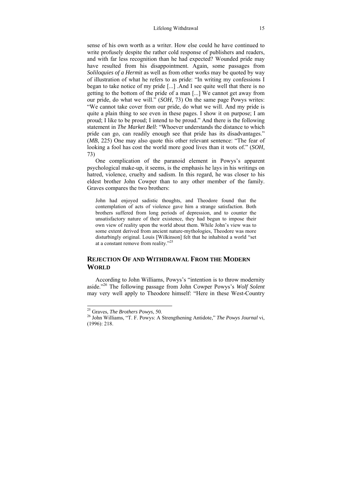sense of his own worth as a writer. How else could he have continued to write profusely despite the rather cold response of publishers and readers, and with far less recognition than he had expected? Wounded pride may have resulted from his disappointment. Again, some passages from *Soliloquies of a Hermit* as well as from other works may be quoted by way of illustration of what he refers to as pride: "In writing my confessions I began to take notice of my pride [...] .And I see quite well that there is no getting to the bottom of the pride of a man [...] We cannot get away from our pride, do what we will." (*SOH*, 73) On the same page Powys writes: "We cannot take cover from our pride, do what we will. And my pride is quite a plain thing to see even in these pages. I show it on purpose; I am proud; I like to be proud; I intend to be proud." And there is the following statement in *The Market Bell*: "Whoever understands the distance to which pride can go, can readily enough see that pride has its disadvantages." (*MB*, 225) One may also quote this other relevant sentence: "The fear of looking a fool has cost the world more good lives than it wots of." (*SOH*, 73)

One complication of the paranoid element in Powys's apparent psychological make-up, it seems, is the emphasis he lays in his writings on hatred, violence, cruelty and sadism. In this regard, he was closer to his eldest brother John Cowper than to any other member of the family. Graves compares the two brothers:

John had enjoyed sadistic thoughts, and Theodore found that the contemplation of acts of violence gave him a strange satisfaction. Both brothers suffered from long periods of depression, and to counter the unsatisfactory nature of their existence, they had begun to impose their own view of reality upon the world about them. While John's view was to some extent derived from ancient nature-mythologies, Theodore was more disturbingly original. Louis [Wilkinson] felt that he inhabited a world "set at a constant remove from reality."<sup>25</sup>

#### **REJECTION OF AND WITHDRAWAL FROM THE MODERN WORLD**

According to John Williams, Powys's "intention is to throw modernity aside."26 The following passage from John Cowper Powys's *Wolf Solent* may very well apply to Theodore himself: "Here in these West-Country

 $25$  Graves. The Brothers Powys, 50.

<sup>&</sup>lt;sup>26</sup> John Williams, "T. F. Powys: A Strengthening Antidote," *The Powys Journal* vi, (1996): 218.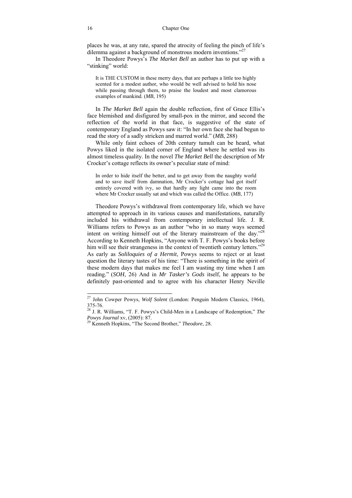places he was, at any rate, spared the atrocity of feeling the pinch of life's dilemma against a background of monstrous modern inventions."<sup>27</sup>

In Theodore Powys's *The Market Bell* an author has to put up with a "stinking" world:

It is THE CUSTOM in these merry days, that are perhaps a little too highly scented for a modest author, who would be well advised to hold his nose while passing through them, to praise the loudest and most clamorous examples of mankind. (*MB*, 195)

In *The Market Bell* again the double reflection, first of Grace Ellis's face blemished and disfigured by small-pox in the mirror, and second the reflection of the world in that face, is suggestive of the state of contemporary England as Powys saw it: "In her own face she had begun to read the story of a sadly stricken and marred world." (*MB*, 288)

While only faint echoes of 20th century tumult can be heard, what Powys liked in the isolated corner of England where he settled was its almost timeless quality. In the novel *The Market Bell* the description of Mr Crocker's cottage reflects its owner's peculiar state of mind:

In order to hide itself the better, and to get away from the naughty world and to save itself from damnation, Mr Crocker's cottage had got itself entirely covered with ivy, so that hardly any light came into the room where Mr Crocker usually sat and which was called the Office. (*MB*, 177)

Theodore Powys's withdrawal from contemporary life, which we have attempted to approach in its various causes and manifestations, naturally included his withdrawal from contemporary intellectual life. J. R. Williams refers to Powys as an author "who in so many ways seemed intent on writing himself out of the literary mainstream of the day."28 According to Kenneth Hopkins, "Anyone with T. F. Powys's books before him will see their strangeness in the context of twentieth century letters."<sup>29</sup> As early as *Soliloquies of a Hermit*, Powys seems to reject or at least question the literary tastes of his time: "There is something in the spirit of these modern days that makes me feel I am wasting my time when I am reading." (*SOH*, 26) And in *Mr Tasker's Gods* itself, he appears to be definitely past-oriented and to agree with his character Henry Neville

<sup>27</sup> John Cowper Powys, *Wolf Solent* (London: Penguin Modern Classics, 1964), 375-76.

<sup>28</sup> J. R. Williams, "T. F. Powys's Child-Men in a Landscape of Redemption," *The* 

<sup>&</sup>lt;sup>29</sup> Kenneth Hopkins, "The Second Brother," *Theodore*, 28.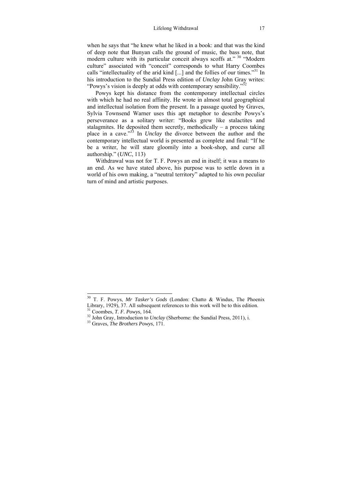when he says that "he knew what he liked in a book: and that was the kind of deep note that Bunyan calls the ground of music, the bass note, that modern culture with its particular conceit always scoffs at." <sup>30</sup> "Modern" culture" associated with "conceit" corresponds to what Harry Coombes calls "intellectuality of the arid kind [...] and the follies of our times."31 In his introduction to the Sundial Press edition of *Unclay* John Gray writes: "Powys's vision is deeply at odds with contemporary sensibility."<sup>32</sup>

Powys kept his distance from the contemporary intellectual circles with which he had no real affinity. He wrote in almost total geographical and intellectual isolation from the present. In a passage quoted by Graves, Sylvia Townsend Warner uses this apt metaphor to describe Powys's perseverance as a solitary writer: "Books grew like stalactites and stalagmites. He deposited them secretly, methodically  $-$  a process taking place in a cave."33 In *Unclay* the divorce between the author and the contemporary intellectual world is presented as complete and final: "If he be a writer, he will stare gloomily into a book-shop, and curse all authorship." (*UNC*, 113)

Withdrawal was not for T. F. Powys an end in itself; it was a means to an end. As we have stated above, his purpose was to settle down in a world of his own making, a "neutral territory" adapted to his own peculiar turn of mind and artistic purposes.

<sup>30</sup> T. F. Powys, *Mr Tasker's Gods* (London: Chatto & Windus, The Phoenix Library, 1929), 37. All subsequent references to this work will be to this edition.<br><sup>31</sup> Coombes, *T. F. Powys*, 164.<br><sup>32</sup> John Gray, Introduction to *Unclay* (Sherborne: the Sundial Press, 2011), i.<br><sup>33</sup> Graves. *The Bro*